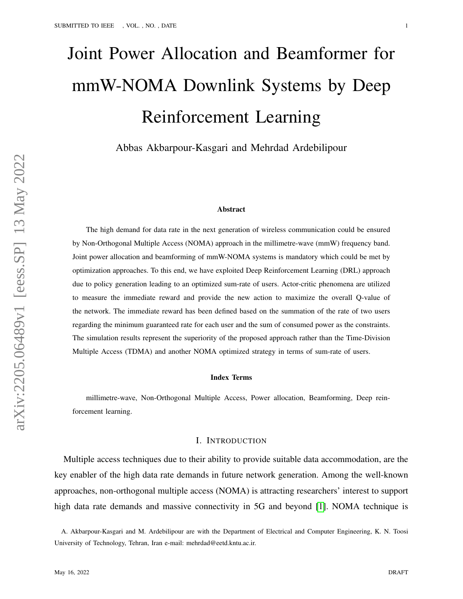# Joint Power Allocation and Beamformer for mmW-NOMA Downlink Systems by Deep Reinforcement Learning

Abbas Akbarpour-Kasgari and Mehrdad Ardebilipour

#### Abstract

The high demand for data rate in the next generation of wireless communication could be ensured by Non-Orthogonal Multiple Access (NOMA) approach in the millimetre-wave (mmW) frequency band. Joint power allocation and beamforming of mmW-NOMA systems is mandatory which could be met by optimization approaches. To this end, we have exploited Deep Reinforcement Learning (DRL) approach due to policy generation leading to an optimized sum-rate of users. Actor-critic phenomena are utilized to measure the immediate reward and provide the new action to maximize the overall Q-value of the network. The immediate reward has been defined based on the summation of the rate of two users regarding the minimum guaranteed rate for each user and the sum of consumed power as the constraints. The simulation results represent the superiority of the proposed approach rather than the Time-Division Multiple Access (TDMA) and another NOMA optimized strategy in terms of sum-rate of users.

#### Index Terms

millimetre-wave, Non-Orthogonal Multiple Access, Power allocation, Beamforming, Deep reinforcement learning.

## I. INTRODUCTION

Multiple access techniques due to their ability to provide suitable data accommodation, are the key enabler of the high data rate demands in future network generation. Among the well-known approaches, non-orthogonal multiple access (NOMA) is attracting researchers' interest to support high data rate demands and massive connectivity in 5G and beyond [\[1\]](#page-9-0). NOMA technique is

A. Akbarpour-Kasgari and M. Ardebilipour are with the Department of Electrical and Computer Engineering, K. N. Toosi University of Technology, Tehran, Iran e-mail: mehrdad@eetd.kntu.ac.ir.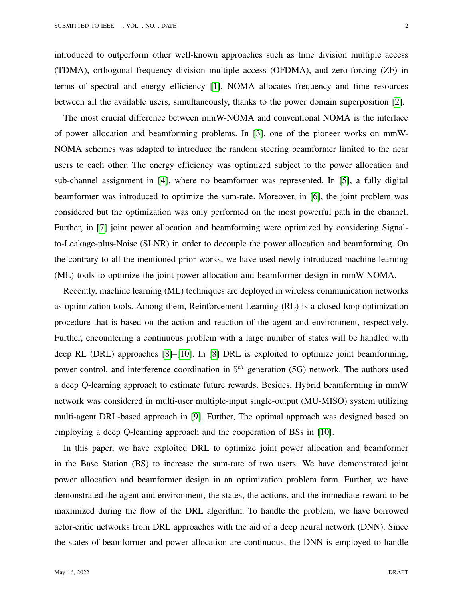introduced to outperform other well-known approaches such as time division multiple access (TDMA), orthogonal frequency division multiple access (OFDMA), and zero-forcing (ZF) in terms of spectral and energy efficiency [\[1\]](#page-9-0). NOMA allocates frequency and time resources between all the available users, simultaneously, thanks to the power domain superposition [\[2\]](#page-9-1).

The most crucial difference between mmW-NOMA and conventional NOMA is the interlace of power allocation and beamforming problems. In [\[3\]](#page-9-2), one of the pioneer works on mmW-NOMA schemes was adapted to introduce the random steering beamformer limited to the near users to each other. The energy efficiency was optimized subject to the power allocation and sub-channel assignment in [\[4\]](#page-9-3), where no beamformer was represented. In [\[5\]](#page-10-0), a fully digital beamformer was introduced to optimize the sum-rate. Moreover, in [\[6\]](#page-10-1), the joint problem was considered but the optimization was only performed on the most powerful path in the channel. Further, in [\[7\]](#page-10-2) joint power allocation and beamforming were optimized by considering Signalto-Leakage-plus-Noise (SLNR) in order to decouple the power allocation and beamforming. On the contrary to all the mentioned prior works, we have used newly introduced machine learning (ML) tools to optimize the joint power allocation and beamformer design in mmW-NOMA.

Recently, machine learning (ML) techniques are deployed in wireless communication networks as optimization tools. Among them, Reinforcement Learning (RL) is a closed-loop optimization procedure that is based on the action and reaction of the agent and environment, respectively. Further, encountering a continuous problem with a large number of states will be handled with deep RL (DRL) approaches [\[8\]](#page-10-3)–[\[10\]](#page-10-4). In [\[8\]](#page-10-3) DRL is exploited to optimize joint beamforming, power control, and interference coordination in  $5<sup>th</sup>$  generation (5G) network. The authors used a deep Q-learning approach to estimate future rewards. Besides, Hybrid beamforming in mmW network was considered in multi-user multiple-input single-output (MU-MISO) system utilizing multi-agent DRL-based approach in [\[9\]](#page-10-5). Further, The optimal approach was designed based on employing a deep Q-learning approach and the cooperation of BSs in [\[10\]](#page-10-4).

In this paper, we have exploited DRL to optimize joint power allocation and beamformer in the Base Station (BS) to increase the sum-rate of two users. We have demonstrated joint power allocation and beamformer design in an optimization problem form. Further, we have demonstrated the agent and environment, the states, the actions, and the immediate reward to be maximized during the flow of the DRL algorithm. To handle the problem, we have borrowed actor-critic networks from DRL approaches with the aid of a deep neural network (DNN). Since the states of beamformer and power allocation are continuous, the DNN is employed to handle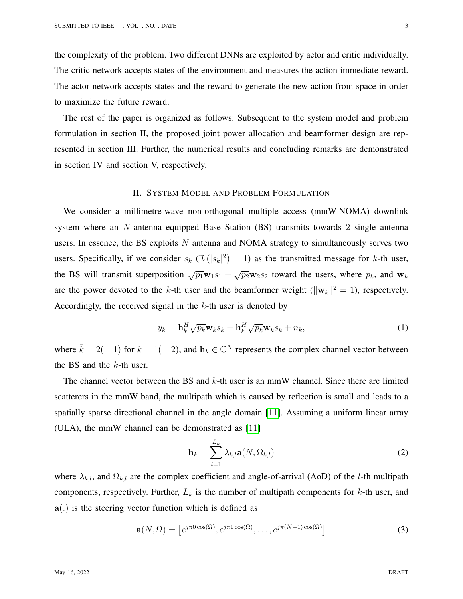the complexity of the problem. Two different DNNs are exploited by actor and critic individually. The critic network accepts states of the environment and measures the action immediate reward. The actor network accepts states and the reward to generate the new action from space in order to maximize the future reward.

The rest of the paper is organized as follows: Subsequent to the system model and problem formulation in section II, the proposed joint power allocation and beamformer design are represented in section III. Further, the numerical results and concluding remarks are demonstrated in section IV and section V, respectively.

# II. SYSTEM MODEL AND PROBLEM FORMULATION

We consider a millimetre-wave non-orthogonal multiple access (mmW-NOMA) downlink system where an N-antenna equipped Base Station (BS) transmits towards 2 single antenna users. In essence, the BS exploits  $N$  antenna and NOMA strategy to simultaneously serves two users. Specifically, if we consider  $s_k$  ( $\mathbb{E}(|s_k|^2) = 1$ ) as the transmitted message for k-th user, the BS will transmit superposition  $\sqrt{p_1}w_1s_1 + \sqrt{p_2}w_2s_2$  toward the users, where  $p_k$ , and  $w_k$ are the power devoted to the k-th user and the beamformer weight ( $||\mathbf{w}_k||^2 = 1$ ), respectively. Accordingly, the received signal in the  $k$ -th user is denoted by

$$
y_k = \mathbf{h}_k^H \sqrt{p_k} \mathbf{w}_k s_k + \mathbf{h}_{\bar{k}}^H \sqrt{p_{\bar{k}}} \mathbf{w}_{\bar{k}} s_{\bar{k}} + n_k, \tag{1}
$$

where  $\bar{k} = 2(= 1)$  for  $k = 1(= 2)$ , and  $\mathbf{h}_k \in \mathbb{C}^N$  represents the complex channel vector between the BS and the  $k$ -th user.

The channel vector between the BS and  $k$ -th user is an mmW channel. Since there are limited scatterers in the mmW band, the multipath which is caused by reflection is small and leads to a spatially sparse directional channel in the angle domain [\[11\]](#page-10-6). Assuming a uniform linear array (ULA), the mmW channel can be demonstrated as [\[11\]](#page-10-6)

$$
\mathbf{h}_{k} = \sum_{l=1}^{L_{k}} \lambda_{k,l} \mathbf{a}(N, \Omega_{k,l})
$$
\n(2)

where  $\lambda_{k,l}$ , and  $\Omega_{k,l}$  are the complex coefficient and angle-of-arrival (AoD) of the *l*-th multipath components, respectively. Further,  $L_k$  is the number of multipath components for  $k$ -th user, and a(.) is the steering vector function which is defined as

$$
\mathbf{a}(N,\Omega) = \left[e^{j\pi 0\cos(\Omega)}, e^{j\pi 1\cos(\Omega)}, \dots, e^{j\pi(N-1)\cos(\Omega)}\right]
$$
(3)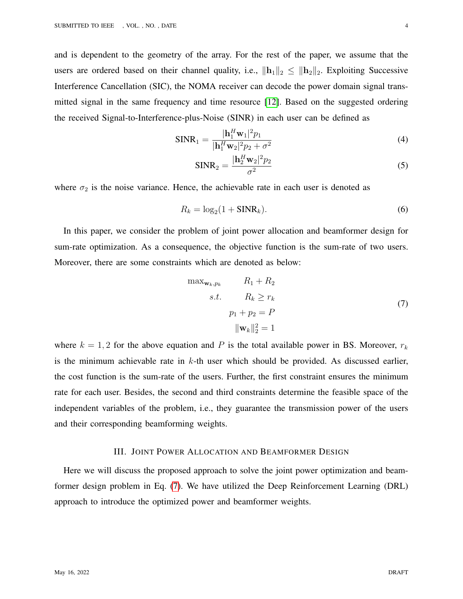and is dependent to the geometry of the array. For the rest of the paper, we assume that the users are ordered based on their channel quality, i.e.,  $\|\mathbf{h}_1\|_2 \leq \|\mathbf{h}_2\|_2$ . Exploiting Successive Interference Cancellation (SIC), the NOMA receiver can decode the power domain signal transmitted signal in the same frequency and time resource [\[12\]](#page-10-7). Based on the suggested ordering the received Signal-to-Interference-plus-Noise (SINR) in each user can be defined as

$$
\text{SINR}_1 = \frac{|\mathbf{h}_1^H \mathbf{w}_1|^2 p_1}{|\mathbf{h}_1^H \mathbf{w}_2|^2 p_2 + \sigma^2}
$$
(4)

$$
\text{SINR}_2 = \frac{|\mathbf{h}_2^H \mathbf{w}_2|^2 p_2}{\sigma^2} \tag{5}
$$

where  $\sigma_2$  is the noise variance. Hence, the achievable rate in each user is denoted as

$$
R_k = \log_2(1 + \text{SINR}_k). \tag{6}
$$

In this paper, we consider the problem of joint power allocation and beamformer design for sum-rate optimization. As a consequence, the objective function is the sum-rate of two users. Moreover, there are some constraints which are denoted as below:

<span id="page-3-0"></span>
$$
\max_{\mathbf{w}_k, p_k} \qquad R_1 + R_2
$$
  
s.t. 
$$
R_k \ge r_k
$$

$$
p_1 + p_2 = P
$$

$$
\|\mathbf{w}_k\|_2^2 = 1
$$
 (7)

where  $k = 1, 2$  for the above equation and P is the total available power in BS. Moreover,  $r_k$ is the minimum achievable rate in  $k$ -th user which should be provided. As discussed earlier, the cost function is the sum-rate of the users. Further, the first constraint ensures the minimum rate for each user. Besides, the second and third constraints determine the feasible space of the independent variables of the problem, i.e., they guarantee the transmission power of the users and their corresponding beamforming weights.

## III. JOINT POWER ALLOCATION AND BEAMFORMER DESIGN

Here we will discuss the proposed approach to solve the joint power optimization and beamformer design problem in Eq. [\(7\)](#page-3-0). We have utilized the Deep Reinforcement Learning (DRL) approach to introduce the optimized power and beamformer weights.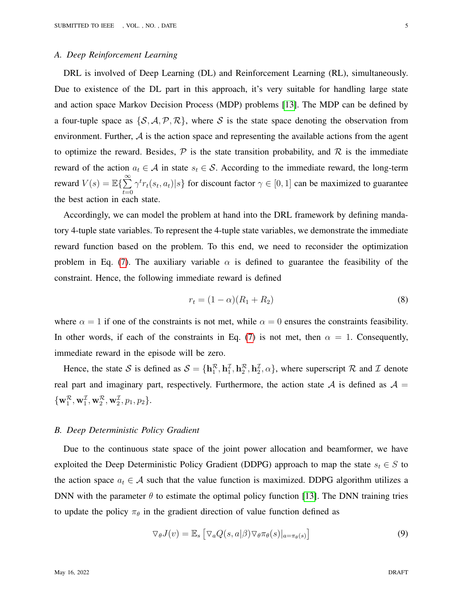## *A. Deep Reinforcement Learning*

DRL is involved of Deep Learning (DL) and Reinforcement Learning (RL), simultaneously. Due to existence of the DL part in this approach, it's very suitable for handling large state and action space Markov Decision Process (MDP) problems [\[13\]](#page-10-8). The MDP can be defined by a four-tuple space as  $\{S, A, P, R\}$ , where S is the state space denoting the observation from environment. Further,  $A$  is the action space and representing the available actions from the agent to optimize the reward. Besides,  $\mathcal P$  is the state transition probability, and  $\mathcal R$  is the immediate reward of the action  $a_t \in A$  in state  $s_t \in S$ . According to the immediate reward, the long-term reward  $V(s) = \mathbb{E}\left\{\sum_{n=1}^{\infty} \right\}$  $t=0$  $\gamma^t r_t(s_t, a_t) | s$  for discount factor  $\gamma \in [0, 1]$  can be maximized to guarantee the best action in each state.

Accordingly, we can model the problem at hand into the DRL framework by defining mandatory 4-tuple state variables. To represent the 4-tuple state variables, we demonstrate the immediate reward function based on the problem. To this end, we need to reconsider the optimization problem in Eq. [\(7\)](#page-3-0). The auxiliary variable  $\alpha$  is defined to guarantee the feasibility of the constraint. Hence, the following immediate reward is defined

<span id="page-4-1"></span>
$$
r_t = (1 - \alpha)(R_1 + R_2)
$$
\n(8)

where  $\alpha = 1$  if one of the constraints is not met, while  $\alpha = 0$  ensures the constraints feasibility. In other words, if each of the constraints in Eq. [\(7\)](#page-3-0) is not met, then  $\alpha = 1$ . Consequently, immediate reward in the episode will be zero.

Hence, the state S is defined as  $S = {\bf h}_1^{\mathcal{R}}, {\bf h}_2^{\mathcal{I}}, {\bf h}_2^{\mathcal{R}}, {\bf h}_2^{\mathcal{I}}, \alpha$ , where superscript R and I denote real part and imaginary part, respectively. Furthermore, the action state  $A$  is defined as  $A =$  $\{\mathbf w_1^{\mathcal R}, \mathbf w_1^{\mathcal I}, \mathbf w_2^{\mathcal R}, \mathbf w_2^{\mathcal I}, p_1, p_2\}.$ 

#### *B. Deep Deterministic Policy Gradient*

Due to the continuous state space of the joint power allocation and beamformer, we have exploited the Deep Deterministic Policy Gradient (DDPG) approach to map the state  $s_t \in S$  to the action space  $a_t \in A$  such that the value function is maximized. DDPG algorithm utilizes a DNN with the parameter  $\theta$  to estimate the optimal policy function [\[13\]](#page-10-8). The DNN training tries to update the policy  $\pi_{\theta}$  in the gradient direction of value function defined as

<span id="page-4-0"></span>
$$
\nabla_{\theta} J(v) = \mathbb{E}_s \left[ \nabla_a Q(s, a | \beta) \nabla_{\theta} \pi_{\theta}(s) |_{a = \pi_{\theta}(s)} \right]
$$
(9)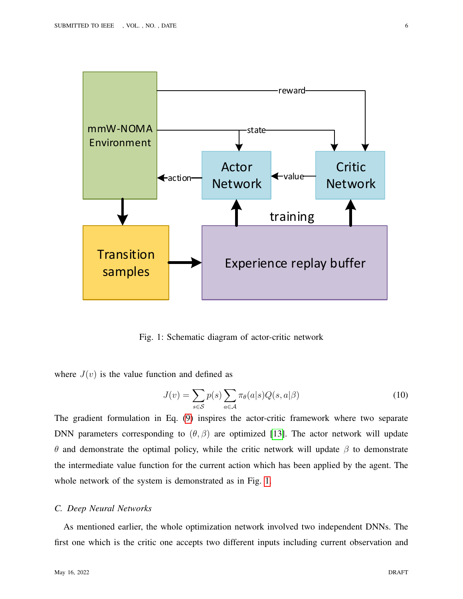<span id="page-5-0"></span>

Fig. 1: Schematic diagram of actor-critic network

where  $J(v)$  is the value function and defined as

$$
J(v) = \sum_{s \in \mathcal{S}} p(s) \sum_{a \in \mathcal{A}} \pi_{\theta}(a|s) Q(s, a|\beta)
$$
 (10)

The gradient formulation in Eq. [\(9\)](#page-4-0) inspires the actor-critic framework where two separate DNN parameters corresponding to  $(\theta, \beta)$  are optimized [\[13\]](#page-10-8). The actor network will update θ and demonstrate the optimal policy, while the critic network will update β to demonstrate the intermediate value function for the current action which has been applied by the agent. The whole network of the system is demonstrated as in Fig. [1.](#page-5-0)

# *C. Deep Neural Networks*

As mentioned earlier, the whole optimization network involved two independent DNNs. The first one which is the critic one accepts two different inputs including current observation and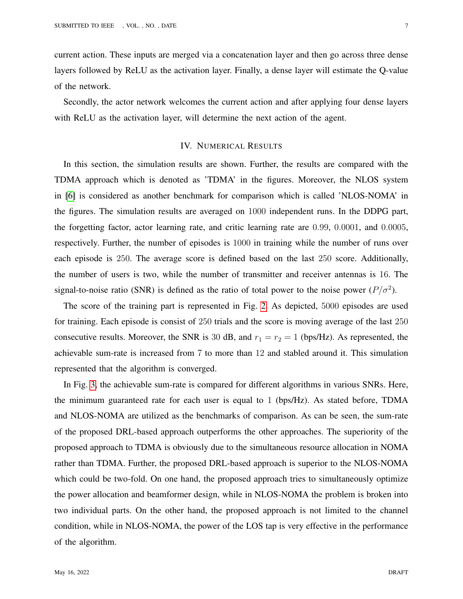current action. These inputs are merged via a concatenation layer and then go across three dense layers followed by ReLU as the activation layer. Finally, a dense layer will estimate the Q-value of the network.

Secondly, the actor network welcomes the current action and after applying four dense layers with ReLU as the activation layer, will determine the next action of the agent.

# IV. NUMERICAL RESULTS

In this section, the simulation results are shown. Further, the results are compared with the TDMA approach which is denoted as 'TDMA' in the figures. Moreover, the NLOS system in [\[6\]](#page-10-1) is considered as another benchmark for comparison which is called 'NLOS-NOMA' in the figures. The simulation results are averaged on 1000 independent runs. In the DDPG part, the forgetting factor, actor learning rate, and critic learning rate are 0.99, 0.0001, and 0.0005, respectively. Further, the number of episodes is 1000 in training while the number of runs over each episode is 250. The average score is defined based on the last 250 score. Additionally, the number of users is two, while the number of transmitter and receiver antennas is 16. The signal-to-noise ratio (SNR) is defined as the ratio of total power to the noise power  $(P/\sigma^2)$ .

The score of the training part is represented in Fig. [2.](#page-7-0) As depicted, 5000 episodes are used for training. Each episode is consist of 250 trials and the score is moving average of the last 250 consecutive results. Moreover, the SNR is 30 dB, and  $r_1 = r_2 = 1$  (bps/Hz). As represented, the achievable sum-rate is increased from 7 to more than 12 and stabled around it. This simulation represented that the algorithm is converged.

In Fig. [3,](#page-8-0) the achievable sum-rate is compared for different algorithms in various SNRs. Here, the minimum guaranteed rate for each user is equal to 1 (bps/Hz). As stated before, TDMA and NLOS-NOMA are utilized as the benchmarks of comparison. As can be seen, the sum-rate of the proposed DRL-based approach outperforms the other approaches. The superiority of the proposed approach to TDMA is obviously due to the simultaneous resource allocation in NOMA rather than TDMA. Further, the proposed DRL-based approach is superior to the NLOS-NOMA which could be two-fold. On one hand, the proposed approach tries to simultaneously optimize the power allocation and beamformer design, while in NLOS-NOMA the problem is broken into two individual parts. On the other hand, the proposed approach is not limited to the channel condition, while in NLOS-NOMA, the power of the LOS tap is very effective in the performance of the algorithm.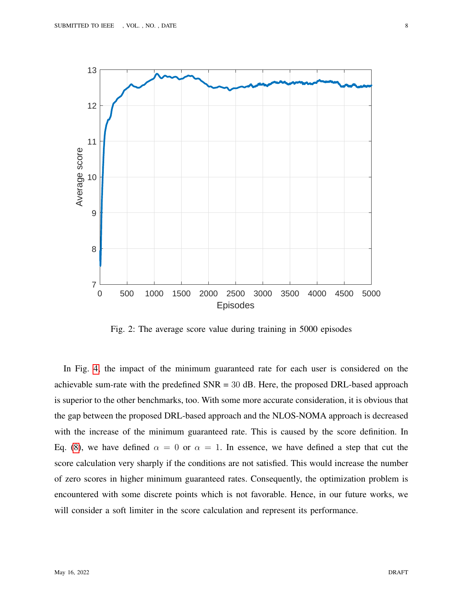<span id="page-7-0"></span>

Fig. 2: The average score value during training in 5000 episodes

In Fig. [4,](#page-9-4) the impact of the minimum guaranteed rate for each user is considered on the achievable sum-rate with the predefined  $SNR = 30$  dB. Here, the proposed DRL-based approach is superior to the other benchmarks, too. With some more accurate consideration, it is obvious that the gap between the proposed DRL-based approach and the NLOS-NOMA approach is decreased with the increase of the minimum guaranteed rate. This is caused by the score definition. In Eq. [\(8\)](#page-4-1), we have defined  $\alpha = 0$  or  $\alpha = 1$ . In essence, we have defined a step that cut the score calculation very sharply if the conditions are not satisfied. This would increase the number of zero scores in higher minimum guaranteed rates. Consequently, the optimization problem is encountered with some discrete points which is not favorable. Hence, in our future works, we will consider a soft limiter in the score calculation and represent its performance.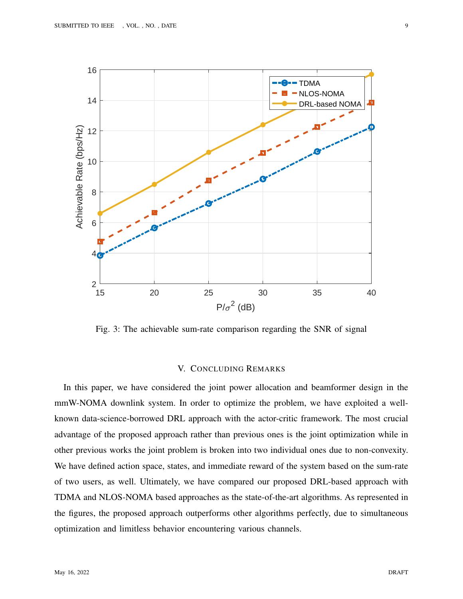<span id="page-8-0"></span>

Fig. 3: The achievable sum-rate comparison regarding the SNR of signal

# V. CONCLUDING REMARKS

In this paper, we have considered the joint power allocation and beamformer design in the mmW-NOMA downlink system. In order to optimize the problem, we have exploited a wellknown data-science-borrowed DRL approach with the actor-critic framework. The most crucial advantage of the proposed approach rather than previous ones is the joint optimization while in other previous works the joint problem is broken into two individual ones due to non-convexity. We have defined action space, states, and immediate reward of the system based on the sum-rate of two users, as well. Ultimately, we have compared our proposed DRL-based approach with TDMA and NLOS-NOMA based approaches as the state-of-the-art algorithms. As represented in the figures, the proposed approach outperforms other algorithms perfectly, due to simultaneous optimization and limitless behavior encountering various channels.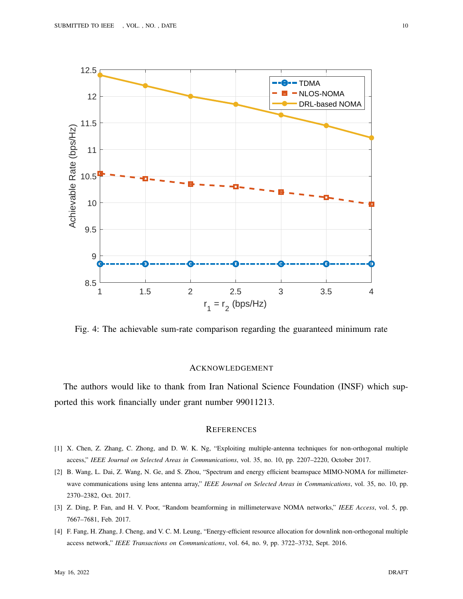<span id="page-9-4"></span>

Fig. 4: The achievable sum-rate comparison regarding the guaranteed minimum rate

## ACKNOWLEDGEMENT

The authors would like to thank from Iran National Science Foundation (INSF) which supported this work financially under grant number 99011213.

## **REFERENCES**

- <span id="page-9-0"></span>[1] X. Chen, Z. Zhang, C. Zhong, and D. W. K. Ng, "Exploiting multiple-antenna techniques for non-orthogonal multiple access," *IEEE Journal on Selected Areas in Communications*, vol. 35, no. 10, pp. 2207–2220, October 2017.
- <span id="page-9-1"></span>[2] B. Wang, L. Dai, Z. Wang, N. Ge, and S. Zhou, "Spectrum and energy efficient beamspace MIMO-NOMA for millimeterwave communications using lens antenna array," *IEEE Journal on Selected Areas in Communications*, vol. 35, no. 10, pp. 2370–2382, Oct. 2017.
- <span id="page-9-2"></span>[3] Z. Ding, P. Fan, and H. V. Poor, "Random beamforming in millimeterwave NOMA networks," *IEEE Access*, vol. 5, pp. 7667–7681, Feb. 2017.
- <span id="page-9-3"></span>[4] F. Fang, H. Zhang, J. Cheng, and V. C. M. Leung, "Energy-efficient resource allocation for downlink non-orthogonal multiple access network," *IEEE Transactions on Communications*, vol. 64, no. 9, pp. 3722–3732, Sept. 2016.